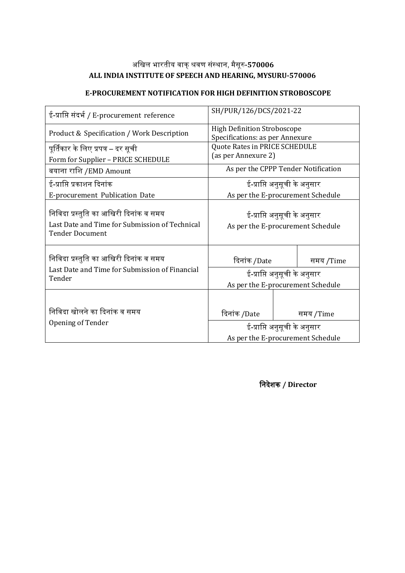# अखिल भारतीय वाक्शवर संस्ाा, मैसूर**-570006 ALL INDIA INSTITUTE OF SPEECH AND HEARING, MYSURU-570006**

## **E-PROCUREMENT NOTIFICATION FOR HIGH DEFINITION STROBOSCOPE**

| ई-प्राप्ति संदर्भ / E-procurement reference                                                                        | SH/PUR/126/DCS/2021-22                                                |  |           |  |  |
|--------------------------------------------------------------------------------------------------------------------|-----------------------------------------------------------------------|--|-----------|--|--|
| Product & Specification / Work Description                                                                         | <b>High Definition Stroboscope</b><br>Specifications: as per Annexure |  |           |  |  |
| पूर्तिकार के लिए प्रपत्र – दर सूची<br>Form for Supplier - PRICE SCHEDULE                                           | Quote Rates in PRICE SCHEDULE<br>(as per Annexure 2)                  |  |           |  |  |
| बयाना राशि /EMD Amount                                                                                             | As per the CPPP Tender Notification                                   |  |           |  |  |
| ई-प्राप्ति प्रकाशन दिनांक                                                                                          | ई-प्राप्ति अनुसूची के अनुसार                                          |  |           |  |  |
| E-procurement Publication Date                                                                                     | As per the E-procurement Schedule                                     |  |           |  |  |
| निविदा प्रस्तुति का आखिरी दिनांक व समय<br>Last Date and Time for Submission of Technical<br><b>Tender Document</b> | ई-प्राप्ति अनुसूची के अनुसार<br>As per the E-procurement Schedule     |  |           |  |  |
| निविदा प्रस्तुति का आखिरी दिनांक व समय                                                                             | दिनांक /Date                                                          |  | समय /Time |  |  |
| Last Date and Time for Submission of Financial<br>Tender                                                           | ई-प्राप्ति अनुसूची के अनुसार                                          |  |           |  |  |
|                                                                                                                    | As per the E-procurement Schedule                                     |  |           |  |  |
| निविदा खोलने का दिनांक व समय<br>Opening of Tender                                                                  | दिनांक /Date                                                          |  | समय /Time |  |  |
|                                                                                                                    | ई-प्राप्ति अनुसूची के अनुसार                                          |  |           |  |  |
|                                                                                                                    | As per the E-procurement Schedule                                     |  |           |  |  |

**निदेशक / Director**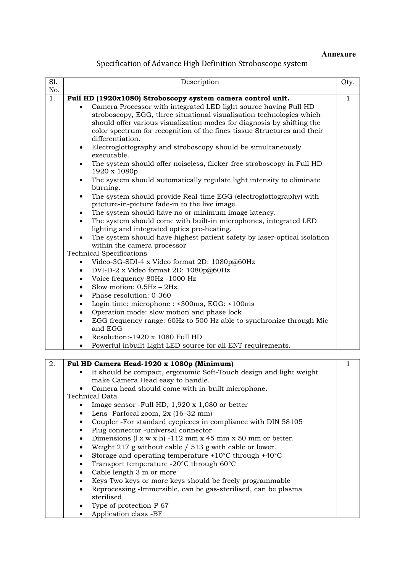#### **Annexure**

## Specification of Advance High Definition Stroboscope system

| No.<br>Full HD (1920x1080) Stroboscopy system camera control unit.<br>Camera Processor with integrated LED light source having Full HD<br>stroboscopy, EGG, three situational visualisation technologies which<br>should offer various visualization modes for diagnosis by shifting the                                                                                                                                                                                                                                                                                                                                                                                                                                                                                                                                                                                                                                                                                                                                                                                                                                                                                                                                                                                                                |
|---------------------------------------------------------------------------------------------------------------------------------------------------------------------------------------------------------------------------------------------------------------------------------------------------------------------------------------------------------------------------------------------------------------------------------------------------------------------------------------------------------------------------------------------------------------------------------------------------------------------------------------------------------------------------------------------------------------------------------------------------------------------------------------------------------------------------------------------------------------------------------------------------------------------------------------------------------------------------------------------------------------------------------------------------------------------------------------------------------------------------------------------------------------------------------------------------------------------------------------------------------------------------------------------------------|
|                                                                                                                                                                                                                                                                                                                                                                                                                                                                                                                                                                                                                                                                                                                                                                                                                                                                                                                                                                                                                                                                                                                                                                                                                                                                                                         |
| color spectrum for recognition of the fines tissue Structures and their<br>differentiation.<br>Electroglottography and stroboscopy should be simultaneously<br>$\bullet$<br>executable.<br>The system should offer noiseless, flicker-free stroboscopy in Full HD<br>$\bullet$<br>1920 x 1080p<br>The system should automatically regulate light intensity to eliminate<br>$\bullet$<br>burning.<br>The system should provide Real-time EGG (electroglottography) with<br>$\bullet$<br>pitcture-in-picture fade-in to the live image.<br>The system should have no or minimum image latency.<br>The system should come with built-in microphones, integrated LED<br>lighting and integrated optics pre-heating.<br>The system should have highest patient safety by laser-optical isolation<br>within the camera processor<br><b>Technical Specifications</b><br>Video-3G-SDI-4 x Video format 2D: 1080p@60Hz<br>$\bullet$<br>DVI-D-2 x Video format 2D: $1080p@60Hz$<br>$\bullet$<br>Voice frequency 80Hz -1000 Hz<br>$\bullet$<br>Slow motion: $0.5$ Hz - $2$ Hz.<br>٠<br>Phase resolution: 0-360<br>$\bullet$<br>Login time: microphone : <300ms, EGG: <100ms<br>$\bullet$<br>Operation mode: slow motion and phase lock<br>٠<br>EGG frequency range: 60Hz to 500 Hz able to synchronize through Mic |

Dimensions  $(l \times w \times h) -112$  mm  $x$  45 mm  $x$  50 mm or better.

- Weight 217 g without cable  $/$  513 g with cable or lower.
- Storage and operating temperature +10°C through +40°C
- Transport temperature -20°C through 60°C
- Cable length 3 m or more<br>• Keys Two keys or more ke
- Keys Two keys or more keys should be freely programmable
- Reprocessing -Immersible, can be gas-sterilised, can be plasma sterilised
- Type of protection-P 67
- Application class -BF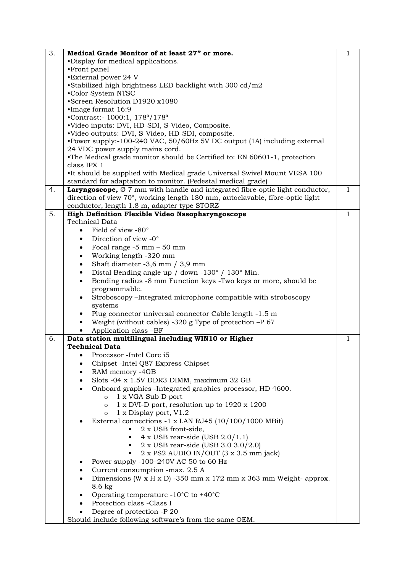| 3.<br>Medical Grade Monitor of at least 27" or more.                                                        | 1            |
|-------------------------------------------------------------------------------------------------------------|--------------|
| •Display for medical applications.                                                                          |              |
| •Front panel                                                                                                |              |
| •External power 24 V                                                                                        |              |
| •Stabilized high brightness LED backlight with 300 cd/m2                                                    |              |
| .Color System NTSC                                                                                          |              |
| •Screen Resolution D1920 x1080                                                                              |              |
| ·Image format 16:9                                                                                          |              |
| •Contrast:- 1000:1, 178°/178°                                                                               |              |
| ·Video inputs: DVI, HD-SDI, S-Video, Composite.                                                             |              |
| ·Video outputs:-DVI, S-Video, HD-SDI, composite.                                                            |              |
| •Power supply:-100-240 VAC, 50/60Hz 5V DC output (1A) including external<br>24 VDC power supply mains cord. |              |
| •The Medical grade monitor should be Certified to: EN 60601-1, protection                                   |              |
| class IPX 1                                                                                                 |              |
| •It should be supplied with Medical grade Universal Swivel Mount VESA 100                                   |              |
| standard for adaptation to monitor. (Pedestal medical grade)                                                |              |
| Laryngoscope, $\varnothing$ 7 mm with handle and integrated fibre-optic light conductor,<br>4.              | $\mathbf{1}$ |
| direction of view 70°, working length 180 mm, autoclavable, fibre-optic light                               |              |
| conductor, length 1.8 m, adapter type STORZ                                                                 |              |
| 5.<br>High Definition Flexible Video Nasopharyngoscope                                                      | $\mathbf{1}$ |
| <b>Technical Data</b>                                                                                       |              |
| Field of view -80°                                                                                          |              |
| Direction of view -0°<br>$\bullet$                                                                          |              |
| Focal range $-5$ mm $-50$ mm<br>$\bullet$                                                                   |              |
| Working length -320 mm<br>$\bullet$                                                                         |              |
| Shaft diameter -3,6 mm / 3,9 mm<br>$\bullet$                                                                |              |
| Distal Bending angle up / down -130° / 130° Min.<br>$\bullet$                                               |              |
| Bending radius -8 mm Function keys -Two keys or more, should be<br>$\bullet$                                |              |
| programmable.                                                                                               |              |
| Stroboscopy - Integrated microphone compatible with stroboscopy                                             |              |
| systems                                                                                                     |              |
| Plug connector universal connector Cable length -1.5 m                                                      |              |
| Weight (without cables) -320 g Type of protection $-P$ 67                                                   |              |
| Application class -BF                                                                                       |              |
| Data station multilingual including WIN10 or Higher<br>6.                                                   | $\mathbf{1}$ |
| <b>Technical Data</b>                                                                                       |              |
| Processor - Intel Core i5                                                                                   |              |
| Chipset -Intel Q87 Express Chipset                                                                          |              |
| RAM memory -4GB                                                                                             |              |
| Slots -04 x 1.5V DDR3 DIMM, maximum 32 GB<br>$\bullet$                                                      |              |
| Onboard graphics -Integrated graphics processor, HD 4600.<br>$\bullet$                                      |              |
| 1 x VGA Sub D port<br>$\circ$                                                                               |              |
| 1 x DVI-D port, resolution up to 1920 x 1200<br>$\circ$                                                     |              |
| 1 x Display port, V1.2<br>$\circ$                                                                           |              |
| External connections -1 x LAN RJ45 (10/100/1000 MBit)                                                       |              |
| 2 x USB front-side,                                                                                         |              |
| $4 \times$ USB rear-side (USB 2.0/1.1)                                                                      |              |
| 2 x USB rear-side (USB 3.0 3.0/2.0)<br>$2 \times PS2$ AUDIO IN/OUT $(3 \times 3.5 \text{ mm jack})$         |              |
|                                                                                                             |              |
| Power supply $-100-240V$ AC 50 to 60 Hz<br>$\bullet$<br>Current consumption -max. 2.5 A                     |              |
| Dimensions (W x H x D) -350 mm x 172 mm x 363 mm Weight- approx.                                            |              |
| $8.6 \text{ kg}$                                                                                            |              |
| Operating temperature -10 $^{\circ}$ C to +40 $^{\circ}$ C<br>$\bullet$                                     |              |
| Protection class -Class I<br>٠                                                                              |              |
| Degree of protection -P 20                                                                                  |              |
| Should include following software's from the same OEM.                                                      |              |
|                                                                                                             |              |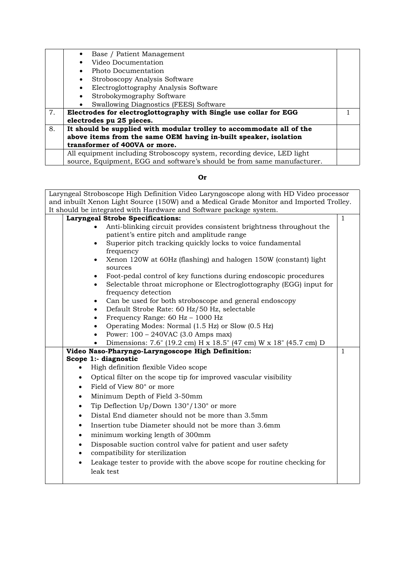|    | Base / Patient Management                                               |  |
|----|-------------------------------------------------------------------------|--|
|    | Video Documentation                                                     |  |
|    | Photo Documentation                                                     |  |
|    | Stroboscopy Analysis Software                                           |  |
|    | Electroglottography Analysis Software                                   |  |
|    | Strobokymography Software                                               |  |
|    | Swallowing Diagnostics (FEES) Software                                  |  |
| 7. | Electrodes for electroglottography with Single use collar for EGG       |  |
|    | electrodes pu 25 pieces.                                                |  |
| 8. | It should be supplied with modular trolley to accommodate all of the    |  |
|    | above items from the same OEM having in-built speaker, isolation        |  |
|    | transformer of 400VA or more.                                           |  |
|    | All equipment including Stroboscopy system, recording device, LED light |  |
|    | source, Equipment, EGG and software's should be from same manufacturer. |  |

## **Or**

| Laryngeal Stroboscope High Definition Video Laryngoscope along with HD Video processor<br>and inbuilt Xenon Light Source (150W) and a Medical Grade Monitor and Imported Trolley. |           |                                                                                                                                                                                                                                                                                                                                                                                                                                                           |              |  |  |  |  |
|-----------------------------------------------------------------------------------------------------------------------------------------------------------------------------------|-----------|-----------------------------------------------------------------------------------------------------------------------------------------------------------------------------------------------------------------------------------------------------------------------------------------------------------------------------------------------------------------------------------------------------------------------------------------------------------|--------------|--|--|--|--|
| It should be integrated with Hardware and Software package system.                                                                                                                |           |                                                                                                                                                                                                                                                                                                                                                                                                                                                           |              |  |  |  |  |
|                                                                                                                                                                                   |           | <b>Laryngeal Strobe Specifications:</b>                                                                                                                                                                                                                                                                                                                                                                                                                   | $\mathbf{1}$ |  |  |  |  |
|                                                                                                                                                                                   |           | Anti-blinking circuit provides consistent brightness throughout the<br>patient's entire pitch and amplitude range<br>Superior pitch tracking quickly locks to voice fundamental<br>frequency<br>Xenon 120W at 60Hz (flashing) and halogen 150W (constant) light<br>sources<br>Foot-pedal control of key functions during endoscopic procedures<br>$\bullet$<br>Selectable throat microphone or Electroglottography (EGG) input for<br>frequency detection |              |  |  |  |  |
|                                                                                                                                                                                   |           | Can be used for both stroboscope and general endoscopy<br>$\bullet$<br>Default Strobe Rate: 60 Hz/50 Hz, selectable<br>$\bullet$<br>Frequency Range: 60 Hz - 1000 Hz<br>$\bullet$<br>Operating Modes: Normal (1.5 Hz) or Slow (0.5 Hz)<br>$\bullet$<br>Power: $100 - 240$ VAC (3.0 Amps max)<br>Dimensions: 7.6" (19.2 cm) H x 18.5" (47 cm) W x 18" (45.7 cm) D                                                                                          |              |  |  |  |  |
|                                                                                                                                                                                   |           | Video Naso-Pharyngo-Laryngoscope High Definition:                                                                                                                                                                                                                                                                                                                                                                                                         | $\mathbf{1}$ |  |  |  |  |
|                                                                                                                                                                                   |           | Scope 1:- diagnostic                                                                                                                                                                                                                                                                                                                                                                                                                                      |              |  |  |  |  |
|                                                                                                                                                                                   |           | High definition flexible Video scope                                                                                                                                                                                                                                                                                                                                                                                                                      |              |  |  |  |  |
|                                                                                                                                                                                   | $\bullet$ | Optical filter on the scope tip for improved vascular visibility                                                                                                                                                                                                                                                                                                                                                                                          |              |  |  |  |  |
|                                                                                                                                                                                   | $\bullet$ | Field of View 80° or more                                                                                                                                                                                                                                                                                                                                                                                                                                 |              |  |  |  |  |
|                                                                                                                                                                                   | $\bullet$ | Minimum Depth of Field 3-50mm                                                                                                                                                                                                                                                                                                                                                                                                                             |              |  |  |  |  |
|                                                                                                                                                                                   | $\bullet$ | Tip Deflection Up/Down 130°/130° or more                                                                                                                                                                                                                                                                                                                                                                                                                  |              |  |  |  |  |
|                                                                                                                                                                                   | $\bullet$ | Distal End diameter should not be more than 3.5mm                                                                                                                                                                                                                                                                                                                                                                                                         |              |  |  |  |  |
|                                                                                                                                                                                   | $\bullet$ | Insertion tube Diameter should not be more than 3.6mm                                                                                                                                                                                                                                                                                                                                                                                                     |              |  |  |  |  |
|                                                                                                                                                                                   | $\bullet$ | minimum working length of 300mm                                                                                                                                                                                                                                                                                                                                                                                                                           |              |  |  |  |  |
|                                                                                                                                                                                   | $\bullet$ | Disposable suction control valve for patient and user safety                                                                                                                                                                                                                                                                                                                                                                                              |              |  |  |  |  |
|                                                                                                                                                                                   |           | compatibility for sterilization                                                                                                                                                                                                                                                                                                                                                                                                                           |              |  |  |  |  |
|                                                                                                                                                                                   | $\bullet$ | Leakage tester to provide with the above scope for routine checking for                                                                                                                                                                                                                                                                                                                                                                                   |              |  |  |  |  |
|                                                                                                                                                                                   |           | leak test                                                                                                                                                                                                                                                                                                                                                                                                                                                 |              |  |  |  |  |
|                                                                                                                                                                                   |           |                                                                                                                                                                                                                                                                                                                                                                                                                                                           |              |  |  |  |  |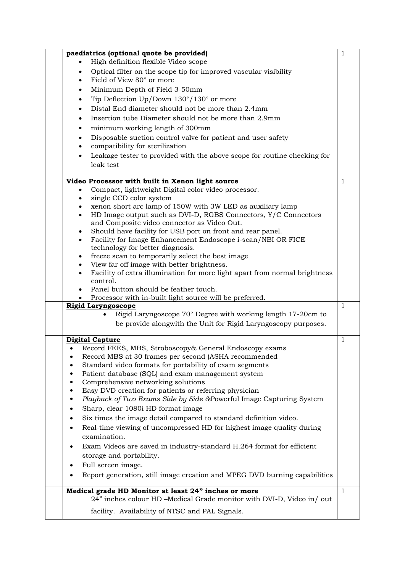| paediatrics (optional quote be provided)                                                                                      | $\mathbf{1}$ |
|-------------------------------------------------------------------------------------------------------------------------------|--------------|
| High definition flexible Video scope                                                                                          |              |
| Optical filter on the scope tip for improved vascular visibility                                                              |              |
| Field of View 80° or more                                                                                                     |              |
| Minimum Depth of Field 3-50mm                                                                                                 |              |
| Tip Deflection Up/Down 130°/130° or more                                                                                      |              |
| Distal End diameter should not be more than 2.4mm                                                                             |              |
| Insertion tube Diameter should not be more than 2.9mm                                                                         |              |
|                                                                                                                               |              |
| minimum working length of 300mm                                                                                               |              |
| Disposable suction control valve for patient and user safety<br>compatibility for sterilization                               |              |
| Leakage tester to provided with the above scope for routine checking for                                                      |              |
| leak test                                                                                                                     |              |
| Video Processor with built in Xenon light source                                                                              | 1            |
| Compact, lightweight Digital color video processor.                                                                           |              |
| single CCD color system                                                                                                       |              |
| xenon short arc lamp of 150W with 3W LED as auxiliary lamp                                                                    |              |
| HD Image output such as DVI-D, RGBS Connectors, Y/C Connectors<br>$\bullet$                                                   |              |
| and Composite video connector as Video Out.                                                                                   |              |
| Should have facility for USB port on front and rear panel.<br>$\bullet$                                                       |              |
| Facility for Image Enhancement Endoscope i-scan/NBI OR FICE<br>$\bullet$                                                      |              |
| technology for better diagnosis.                                                                                              |              |
| freeze scan to temporarily select the best image<br>$\bullet$                                                                 |              |
| View far off image with better brightness.<br>Facility of extra illumination for more light apart from normal brightness      |              |
| control.                                                                                                                      |              |
| Panel button should be feather touch.                                                                                         |              |
| Processor with in-built light source will be preferred.                                                                       |              |
| <b>Rigid Laryngoscope</b>                                                                                                     | $\mathbf{1}$ |
| Rigid Laryngoscope 70° Degree with working length 17-20cm to                                                                  |              |
| be provide alongwith the Unit for Rigid Laryngoscopy purposes.                                                                |              |
| <b>Digital Capture</b>                                                                                                        | $\mathbf{1}$ |
| Record FEES, MBS, Stroboscopy& General Endoscopy exams                                                                        |              |
| Record MBS at 30 frames per second (ASHA recommended<br>٠                                                                     |              |
| Standard video formats for portability of exam segments<br>$\bullet$                                                          |              |
| Patient database (SQL) and exam management system<br>٠                                                                        |              |
| Comprehensive networking solutions<br>$\bullet$                                                                               |              |
| Easy DVD creation for patients or referring physician<br>$\bullet$                                                            |              |
| Playback of Two Exams Side by Side &Powerful Image Capturing System<br>$\bullet$                                              |              |
| Sharp, clear 1080i HD format image<br>$\bullet$                                                                               |              |
| Six times the image detail compared to standard definition video.<br>٠                                                        |              |
| Real-time viewing of uncompressed HD for highest image quality during<br>٠                                                    |              |
| examination.                                                                                                                  |              |
| Exam Videos are saved in industry-standard H.264 format for efficient<br>$\bullet$                                            |              |
| storage and portability.                                                                                                      |              |
| Full screen image.                                                                                                            |              |
| Report generation, still image creation and MPEG DVD burning capabilities                                                     |              |
|                                                                                                                               |              |
| Medical grade HD Monitor at least 24" inches or more<br>24" inches colour HD -Medical Grade monitor with DVI-D, Video in/ out | $\mathbf{1}$ |
|                                                                                                                               |              |
| facility. Availability of NTSC and PAL Signals.                                                                               |              |
|                                                                                                                               |              |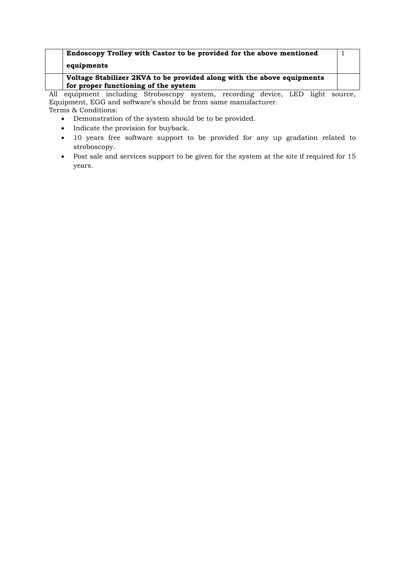| Endoscopy Trolley with Castor to be provided for the above mentioned   |  |
|------------------------------------------------------------------------|--|
| equipments                                                             |  |
| Voltage Stabilizer 2KVA to be provided along with the above equipments |  |
| for proper functioning of the system                                   |  |

All equipment including Stroboscopy system, recording device, LED light source, Equipment, EGG and software's should be from same manufacturer. Terms & Conditions:

- Demonstration of the system should be to be provided.
- Indicate the provision for buyback.
- 10 years free software support to be provided for any up gradation related to stroboscopy.
- Post sale and services support to be given for the system at the site if required for 15 years.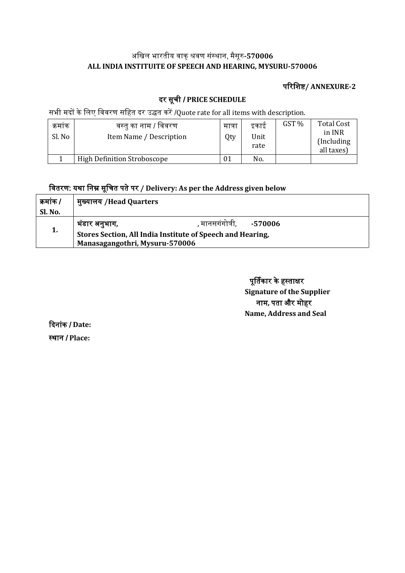## अखिल भारतीय वाक्शवर संस्ाा, मैसूर**-570006 ALL INDIA INSTITUITE OF SPEECH AND HEARING, MYSURU-570006**

## पररखिष**/ ANNEXURE-2**

# दर सूची / **PRICE SCHEDULE**

सभी मदों के लिए विवरण सहित दर उद्धत करें /Quote rate for all items with description.

| क्रमाक<br>Sl. No | वस्तु का नाम / विवरण<br>Item Name / Description | मात्रा<br>Qty | इकाइ<br>Unit<br>rate | GST % | <b>Total Cost</b><br>in INR<br>(Including)<br>all taxes) |
|------------------|-------------------------------------------------|---------------|----------------------|-------|----------------------------------------------------------|
|                  | <b>High Definition Stroboscope</b>              | 01            | No.                  |       |                                                          |

# खवतरर: य्ा खाम सूखचत पतेपर **/ Delivery: As per the Address given below**

| कमांक / | मुख्यालय /Head Quarters                                                                      |                               |  |  |  |  |
|---------|----------------------------------------------------------------------------------------------|-------------------------------|--|--|--|--|
| Sl. No. |                                                                                              |                               |  |  |  |  |
|         | भंडार अनुभाग,                                                                                | , मानसगंगोत्री,       -570006 |  |  |  |  |
| 1.      | Stores Section, All India Institute of Speech and Hearing,<br>Manasagangothri, Mysuru-570006 |                               |  |  |  |  |
|         |                                                                                              |                               |  |  |  |  |

पूर्तिकार के हस्ताक्षर **Signature of the Supplier** नाम, पता और मोहर **Name, Address and Seal**

ददाांक / **Date:** स्थान / Place: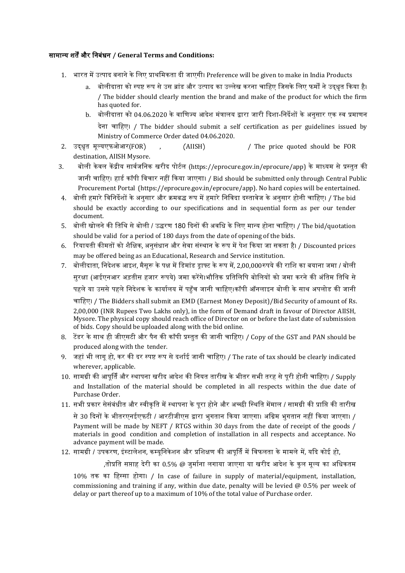#### सामानय ित्और खाबंधा **/ General Terms and Conditions:**

- 1. भारत में उत्पाद बनाने के लिए प्राथमिकता दी जाएगी। Preference will be given to make in India Products
	- a. बोलीदाता को स्पष्ट रूप से उस ब्रांड और उत्पाद का उल्लेख करना चाहिए जिसके लिए फर्मों ने उदधत किया है। / The bidder should clearly mention the brand and make of the product for which the firm has quoted for.
	- b. बोलीदाता को 04.06.2020 के वाणिज्य आदेश मंत्रालय द्वारा जारी दिशा-निर्देशों के अनुसार एक स्व प्रमाणन देना चाहिए। / The bidder should submit a self certification as per guidelines issued by Ministry of Commerce Order dated 04.06.2020.
- 2. उदधधत मूलयएफफआर(FOR) , (AIISH) / The price quoted should be FOR destination, AIISH Mysore.
- 3. बोली केवल केंद्रीय सार्वजनिक खरीद पोर्टल (https://eprocure.gov.in/eprocure/app) के माध्यम से प्रस्तुत की जानी चाहिए। हार्ड कॉपी विचार नहीं किया जाएगा। / Bid should be submitted only through Central Public Procurement Portal (https://eprocure.gov.in/eprocure/app). No hard copies will be entertained.
- 4. बोली हमारे विनिर्देशों के अनसार और क्रमबद्ध रूप में हमारे निविदा दस्तावेज के अनसार होनी चाहिए। / The bid should be exactly according to our specifications and in sequential form as per our tender document.
- 5. बोली खोलने की तिथि से बोली / उद्धरण 180 दिनों की अवधि के लिए मान्य होना चाहिए। / The bid/quotation should be valid for a period of 180 days from the date of opening of the bids.
- 6. रियायती कीमतों को शैक्षिक, अनसंधान और सेवा संस्थान के रूप में पेश किया जा सकता है। / Discounted prices may be offered being as an Educational, Research and Service institution.
- 7. बोलीदाता, निदेशक आइश, मैसरू के पक्ष में डिमांड डाफ्ट के रूप में, 2,00,000रुपये की राशि का बयाना जमा / बोली सुरक्षा (आईएनआर अड़तीस हजार रूपये) जमा करेंगे।भौतिक प्रतिलिपि बोलियों को जमा करने की अंतिम तिथि से पहले या उससे पहले निदेशक के कार्यालय में पहुँच जानी चाहिए।कॉपी ऑनलाइन बोली के साथ अपलोड की जानी चाहिए। / The Bidders shall submit an EMD (Earnest Money Deposit)/Bid Security of amount of Rs.<br>2,00,000 (INR Rupees Two Lakhs only), in the form of Demand draft in favour of Director AIISH,

Mysore. The physical copy should reach office of Director on or before the last date of submission of bids. Copy should be uploaded along with the bid online.

- 8. टेंडर के साथ ही जीएसटी और पैन की कॉपी प्रस्तुत की जानी चाहिए। / Copy of the GST and PAN should be produced along with the tender.
- 9. जहां भी लागू हो, कर की दर स्पष्ट रूप से दर्शाई जानी चाहिए। / The rate of tax should be clearly indicated wherever, applicable.
- 10. सामग्री की आपर्ति और स्थापना खरीद आदेश की नियत तारीख के भीतर सभी तरह से परी होनी चाहिए। / Supply and Installation of the material should be completed in all respects within the due date of Purchase Order.
- 11. सभी प्रकार सेसंबंधीत और स्वीकति में स्थापना के परा होने और अच्छी स्थिति मेंमाल / सामग्री की प्राप्ति की तारीख

से 30 दिनों के भीतरएनईएफटी / आरटीजीएस द्वारा भुगतान किया जाएगा। अग्रिम भुगतान नहीं किया जाएगा। / Payment will be made by NEFT / RTGS within 30 days from the date of receipt of the goods / materials in good condition and completion of installation in all respects and acceptance. No advance payment will be made.

### 12. सामग्री / उपकरण, इंस्टालेशन, कम्युनिकेशन और प्रशिक्षण की आपूर्ति में विफलता के मामले में, यदि कोई हो,

,तोप्रति सप्ताह देरी का 0.5% @ जर्माना लगाया जाएगा या खरीद आदेश के कल मल्य का अधिकतम

10% तक का हिस्सा होगा। / In case of failure in supply of material/equipment, installation, commissioning and training if any, within due date, penalty will be levied  $@$  0.5% per week of delay or part thereof up to a maximum of 10% of the total value of Purchase order.